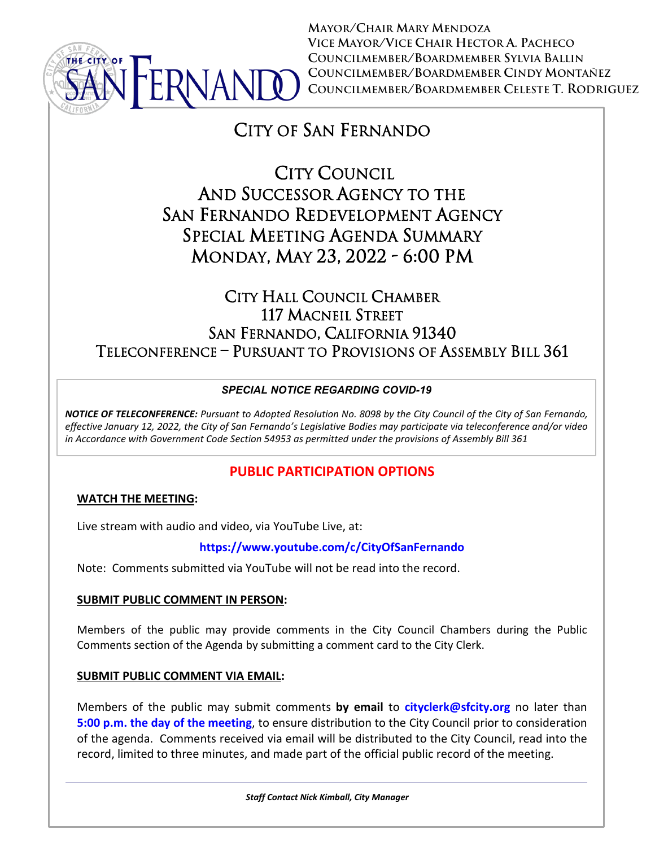

**MAYOR/CHAIR MARY MENDOZA VICE MAYOR/VICE CHAIR HECTOR A. PACHECO COUNCILMEMBER/BOARDMEMBER SYLVIA BALLIN COUNCILMEMBER/BOARDMEMBER CINDY MONTAÑEZ COUNCILMEMBER/BOARDMEMBER CELESTE T. RODRIGUEZ**

# CITY OF SAN FERNANDO

 CITY COUNCIL AND SUCCESSOR AGENCY TO THE SAN FERNANDO REDEVELOPMENT AGENCY SPECIAL MEETING AGENDA SUMMARY MONDAY, MAY 23, 2022 - 6:00 PM

## CITY HALL COUNCIL CHAMBER 117 MACNEIL STREET SAN FERNANDO, CALIFORNIA 91340 TELECONFERENCE – PURSUANT TO PROVISIONS OF ASSEMBLY BILL 361

## *SPECIAL NOTICE REGARDING COVID-19*

*NOTICE OF TELECONFERENCE: Pursuant to Adopted Resolution No. 8098 by the City Council of the City of San Fernando, effective January 12, 2022, the City of San Fernando's Legislative Bodies may participate via teleconference and/or video in Accordance with Government Code Section 54953 as permitted under the provisions of Assembly Bill 361*

## **PUBLIC PARTICIPATION OPTIONS**

## **WATCH THE MEETING:**

Live stream with audio and video, via YouTube Live, at:

## **<https://www.youtube.com/c/CityOfSanFernando>**

Note: Comments submitted via YouTube will not be read into the record.

## **SUBMIT PUBLIC COMMENT IN PERSON:**

Members of the public may provide comments in the City Council Chambers during the Public Comments section of the Agenda by submitting a comment card to the City Clerk.

## **SUBMIT PUBLIC COMMENT VIA EMAIL:**

Members of the public may submit comments **by email** to **[cityclerk@sfcity.org](mailto:cityclerk@sfcity.org)** no later than **5:00 p.m. the day of the meeting**, to ensure distribution to the City Council prior to consideration of the agenda. Comments received via email will be distributed to the City Council, read into the record, limited to three minutes, and made part of the official public record of the meeting.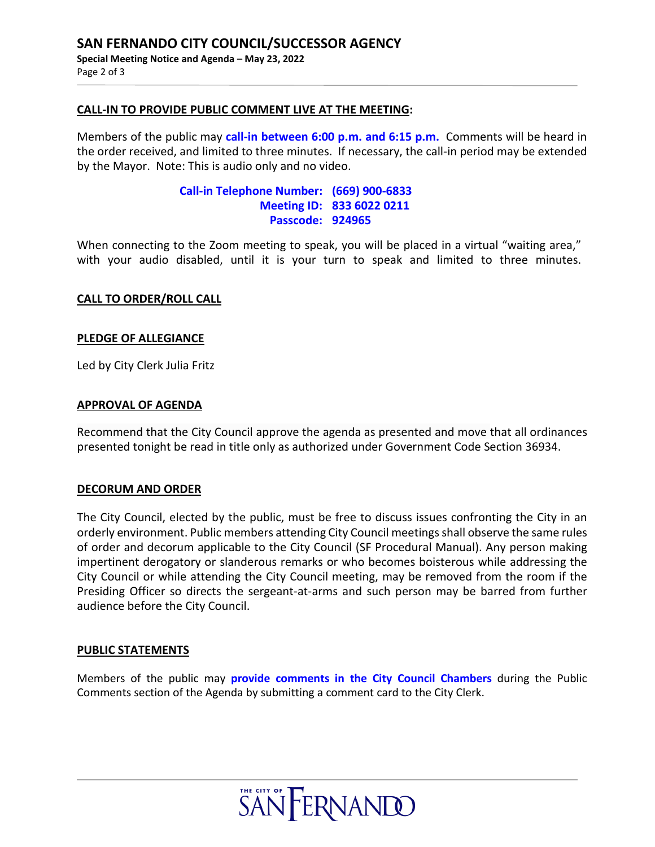#### **CALL-IN TO PROVIDE PUBLIC COMMENT LIVE AT THE MEETING:**

Members of the public may **call-in between 6:00 p.m. and 6:15 p.m.** Comments will be heard in the order received, and limited to three minutes. If necessary, the call-in period may be extended by the Mayor. Note: This is audio only and no video.

### **Call-in Telephone Number: (669) 900-6833 Meeting ID: 833 6022 0211 Passcode: 924965**

When connecting to the Zoom meeting to speak, you will be placed in a virtual "waiting area," with your audio disabled, until it is your turn to speak and limited to three minutes.

#### **CALL TO ORDER/ROLL CALL**

#### **PLEDGE OF ALLEGIANCE**

Led by City Clerk Julia Fritz

#### **APPROVAL OF AGENDA**

Recommend that the City Council approve the agenda as presented and move that all ordinances presented tonight be read in title only as authorized under Government Code Section 36934.

#### **DECORUM AND ORDER**

The City Council, elected by the public, must be free to discuss issues confronting the City in an orderly environment. Public members attending City Council meetings shall observe the same rules of order and decorum applicable to the City Council (SF Procedural Manual). Any person making impertinent derogatory or slanderous remarks or who becomes boisterous while addressing the City Council or while attending the City Council meeting, may be removed from the room if the Presiding Officer so directs the sergeant-at-arms and such person may be barred from further audience before the City Council.

#### **PUBLIC STATEMENTS**

Members of the public may **provide comments in the City Council Chambers** during the Public Comments section of the Agenda by submitting a comment card to the City Clerk.